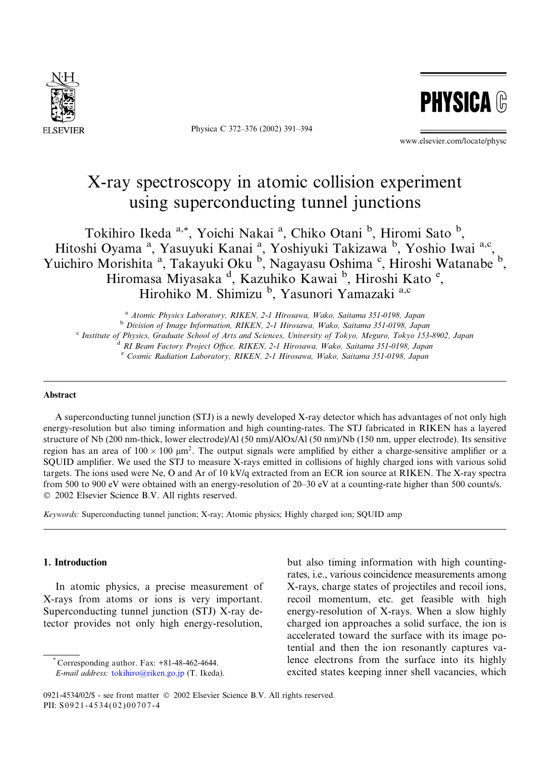

Physica C 372–376 (2002) 391–394



www.elsevier.com/locate/physc

# X-ray spectroscopy in atomic collision experiment using superconducting tunnel junctions

Tokihiro Ikeda a,\*, Yoichi Nakai <sup>a</sup>, Chiko Otani <sup>b</sup>, Hiromi Sato <sup>b</sup>, Hitoshi Oyama<sup>a</sup>, Yasuyuki Kanai<sup>a</sup>, Yoshiyuki Takizawa<sup>b</sup>, Yoshio Iwai<sup>a,c</sup>, Yuichiro Morishita<sup>a</sup>, Takayuki Oku<sup>b</sup>, Nagayasu Oshima<sup>c</sup>, Hiroshi Watanabe<sup>b</sup>, Hiromasa Miyasaka <sup>d</sup>, Kazuhiko Kawai <sup>b</sup>, Hiroshi Kato e, Hirohiko M. Shimizu <sup>b</sup>, Yasunori Yamazaki a,c

<sup>a</sup> Atomic Physics Laboratory, RIKEN, 2-1 Hirosawa, Wako, Saitama 351-0198, Japan

<sup>b</sup> Division of Image Information, RIKEN, 2-1 Hirosawa, Wako, Saitama 351-0198, Japan

<sup>c</sup> Institute of Physics, Graduate School of Arts and Sciences, University of Tokyo, Meguro, Tokyo 153-8902, Japan

<sup>d</sup> RI Beam Factory Project Office, RIKEN, 2-1 Hirosawa, Wako, Saitama 351-0198, Japan

<sup>e</sup> Cosmic Radiation Laboratory, RIKEN, 2-1 Hirosawa, Wako, Saitama 351-0198, Japan

#### Abstract

A superconducting tunnel junction (STJ) is a newly developed X-ray detector which has advantages of not only high energy-resolution but also timing information and high counting-rates. The STJ fabricated in RIKEN has a layered structure of Nb (200 nm-thick, lower electrode)/Al (50 nm)/AlOx/Al (50 nm)/Nb (150 nm, upper electrode). Its sensitive region has an area of  $100 \times 100 \mu m^2$ . The output signals were amplified by either a charge-sensitive amplifier or a SQUID amplifier. We used the STJ to measure X-rays emitted in collisions of highly charged ions with various solid targets. The ions used were Ne, O and Ar of 10 kV/q extracted from an ECR ion source at RIKEN. The X-ray spectra from 500 to 900 eV were obtained with an energy-resolution of 20–30 eV at a counting-rate higher than 500 counts/s. 2002 Elsevier Science B.V. All rights reserved.

Keywords: Superconducting tunnel junction; X-ray; Atomic physics; Highly charged ion; SQUID amp

## 1. Introduction

In atomic physics, a precise measurement of X-rays from atoms or ions is very important. Superconducting tunnel junction (STJ) X-ray detector provides not only high energy-resolution,

Corresponding author. Fax: +81-48-462-4644.

but also timing information with high countingrates, i.e., various coincidence measurements among X-rays, charge states of projectiles and recoil ions, recoil momentum, etc. get feasible with high energy-resolution of X-rays. When a slow highly charged ion approaches a solid surface, the ion is accelerated toward the surface with its image potential and then the ion resonantly captures valence electrons from the surface into its highly excited states keeping inner shell vacancies, which

E-mail address: [tokihiro@riken.go.jp](mail to: tokihiro@riken.go.jp) (T. Ikeda).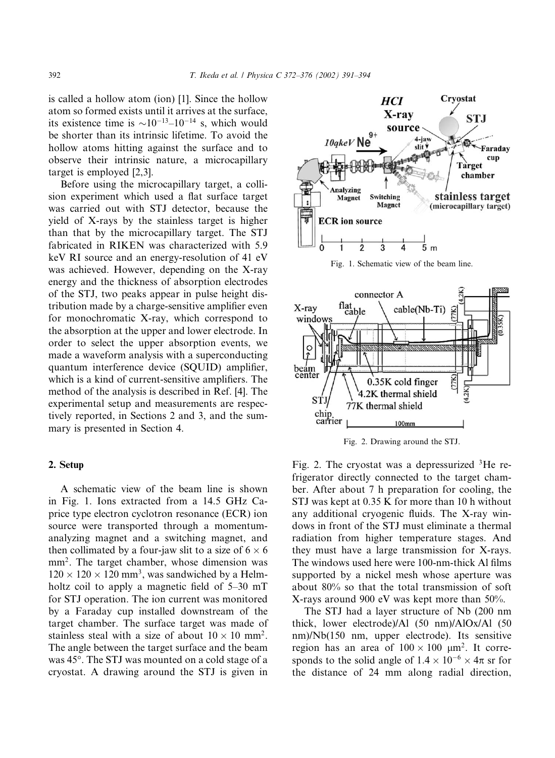is called a hollow atom (ion) [1]. Since the hollow atom so formed exists until it arrives at the surface, its existence time is  $\sim 10^{-13} - 10^{-14}$  s, which would be shorter than its intrinsic lifetime. To avoid the hollow atoms hitting against the surface and to observe their intrinsic nature, a microcapillary target is employed [2,3].

Before using the microcapillary target, a collision experiment which used a flat surface target was carried out with STJ detector, because the yield of X-rays by the stainless target is higher than that by the microcapillary target. The STJ fabricated in RIKEN was characterized with 5.9 keV RI source and an energy-resolution of 41 eV was achieved. However, depending on the X-ray energy and the thickness of absorption electrodes of the STJ, two peaks appear in pulse height distribution made by a charge-sensitive amplifier even for monochromatic X-ray, which correspond to the absorption at the upper and lower electrode. In order to select the upper absorption events, we made a waveform analysis with a superconducting quantum interference device (SQUID) amplifier, which is a kind of current-sensitive amplifiers. The method of the analysis is described in Ref. [4]. The experimental setup and measurements are respectively reported, in Sections 2 and 3, and the summary is presented in Section 4.

### 2. Setup

A schematic view of the beam line is shown in Fig. 1. Ions extracted from a 14.5 GHz Caprice type electron cyclotron resonance (ECR) ion source were transported through a momentumanalyzing magnet and a switching magnet, and then collimated by a four-jaw slit to a size of  $6 \times 6$ mm<sup>2</sup>. The target chamber, whose dimension was  $120 \times 120 \times 120$  mm<sup>3</sup>, was sandwiched by a Helmholtz coil to apply a magnetic field of 5–30 mT for STJ operation. The ion current was monitored by a Faraday cup installed downstream of the target chamber. The surface target was made of stainless steal with a size of about  $10 \times 10$  mm<sup>2</sup>. The angle between the target surface and the beam was 45°. The STJ was mounted on a cold stage of a cryostat. A drawing around the STJ is given in



Fig. 1. Schematic view of the beam line.





Fig. 2. The cryostat was a depressurized  ${}^{3}$ He refrigerator directly connected to the target chamber. After about 7 h preparation for cooling, the STJ was kept at 0.35 K for more than 10 h without any additional cryogenic fluids. The X-ray windows in front of the STJ must eliminate a thermal radiation from higher temperature stages. And they must have a large transmission for X-rays. The windows used here were 100-nm-thick Al films supported by a nickel mesh whose aperture was about 80% so that the total transmission of soft X-rays around 900 eV was kept more than 50%.

The STJ had a layer structure of Nb (200 nm thick, lower electrode)/Al (50 nm)/AlOx/Al (50 nm)/Nb(150 nm, upper electrode). Its sensitive region has an area of  $100 \times 100 \mu m^2$ . It corresponds to the solid angle of  $1.4 \times 10^{-6} \times 4\pi$  sr for the distance of 24 mm along radial direction,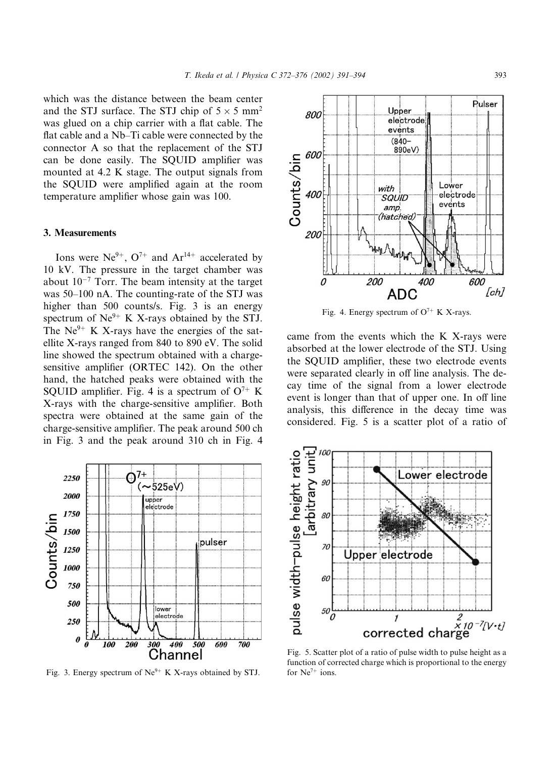which was the distance between the beam center and the STJ surface. The STJ chip of  $5 \times 5$  mm<sup>2</sup> was glued on a chip carrier with a flat cable. The flat cable and a Nb–Ti cable were connected by the connector A so that the replacement of the STJ can be done easily. The SQUID amplifier was mounted at 4.2 K stage. The output signals from the SQUID were amplified again at the room temperature amplifier whose gain was 100.

## 3. Measurements

Ions were Ne<sup>9+</sup>,  $Q^{7+}$  and  $Ar^{14+}$  accelerated by 10 kV. The pressure in the target chamber was about  $10^{-7}$  Torr. The beam intensity at the target was 50–100 nA. The counting-rate of the STJ was higher than 500 counts/s. Fig. 3 is an energy spectrum of  $Ne^{9+}$  K X-rays obtained by the STJ. The  $Ne^{9+}$  K X-rays have the energies of the satellite X-rays ranged from 840 to 890 eV. The solid line showed the spectrum obtained with a chargesensitive amplifier (ORTEC 142). On the other hand, the hatched peaks were obtained with the SQUID amplifier. Fig. 4 is a spectrum of  $O^{7+}$  K X-rays with the charge-sensitive amplifier. Both spectra were obtained at the same gain of the charge-sensitive amplifier. The peak around 500 ch in Fig. 3 and the peak around 310 ch in Fig. 4



Fig. 3. Energy spectrum of  $Ne^{9+}$  K X-rays obtained by STJ.



Fig. 4. Energy spectrum of  $O^{7+} K X$ -rays.

came from the events which the K X-rays were absorbed at the lower electrode of the STJ. Using the SQUID amplifier, these two electrode events were separated clearly in off line analysis. The decay time of the signal from a lower electrode event is longer than that of upper one. In off line analysis, this difference in the decay time was considered. Fig. 5 is a scatter plot of a ratio of



Fig. 5. Scatter plot of a ratio of pulse width to pulse height as a function of corrected charge which is proportional to the energy for  $Ne^{7+}$  ions.